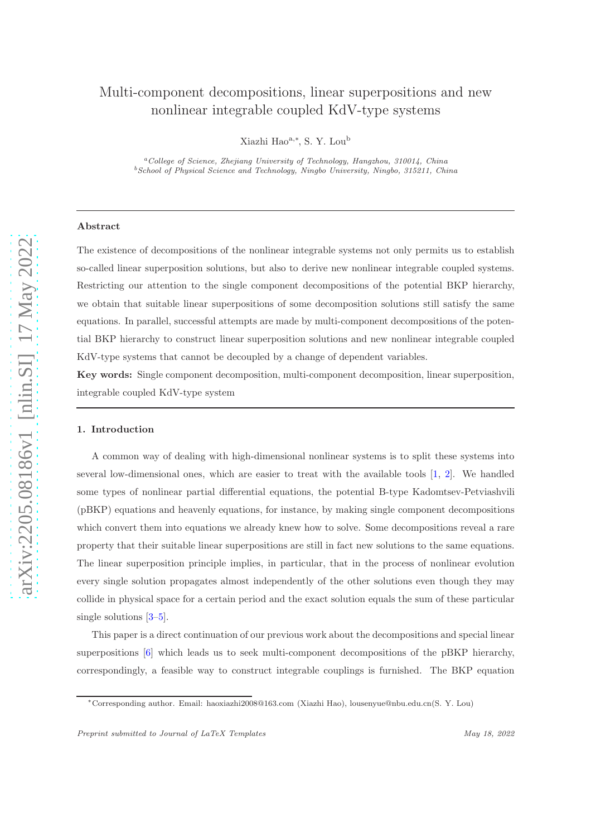# Multi-component decompositions, linear superpositions and new nonlinear integrable coupled KdV-type systems

Xiazhi Hao<sup>a,∗</sup>, S. Y. Lou<sup>b</sup>

<sup>a</sup>College of Science, Zhejiang University of Technology, Hangzhou, 310014, China  $^{b}$ School of Physical Science and Technology, Ningbo University, Ningbo, 315211, China

## Abstract

The existence of decompositions of the nonlinear integrable systems not only permits us to establish so-called linear superposition solutions, but also to derive new nonlinear integrable coupled systems. Restricting our attention to the single component decompositions of the potential BKP hierarchy, we obtain that suitable linear superpositions of some decomposition solutions still satisfy the same equations. In parallel, successful attempts are made by multi-component decompositions of the potential BKP hierarchy to construct linear superposition solutions and new nonlinear integrable coupled KdV-type systems that cannot be decoupled by a change of dependent variables.

Key words: Single component decomposition, multi-component decomposition, linear superposition, integrable coupled KdV-type system

#### 1. Introduction

A common way of dealing with high-dimensional nonlinear systems is to split these systems into several low-dimensional ones, which are easier to treat with the available tools [\[1](#page-14-0), [2\]](#page-14-1). We handled some types of nonlinear partial differential equations, the potential B-type Kadomtsev-Petviashvili (pBKP) equations and heavenly equations, for instance, by making single component decompositions which convert them into equations we already knew how to solve. Some decompositions reveal a rare property that their suitable linear superpositions are still in fact new solutions to the same equations. The linear superposition principle implies, in particular, that in the process of nonlinear evolution every single solution propagates almost independently of the other solutions even though they may collide in physical space for a certain period and the exact solution equals the sum of these particular single solutions [\[3](#page-14-2)[–5\]](#page-14-3).

This paper is a direct continuation of our previous work about the decompositions and special linear superpositions [\[6\]](#page-14-4) which leads us to seek multi-component decompositions of the pBKP hierarchy, correspondingly, a feasible way to construct integrable couplings is furnished. The BKP equation

<sup>∗</sup>Corresponding author. Email: haoxiazhi2008@163.com (Xiazhi Hao), lousenyue@nbu.edu.cn(S. Y. Lou)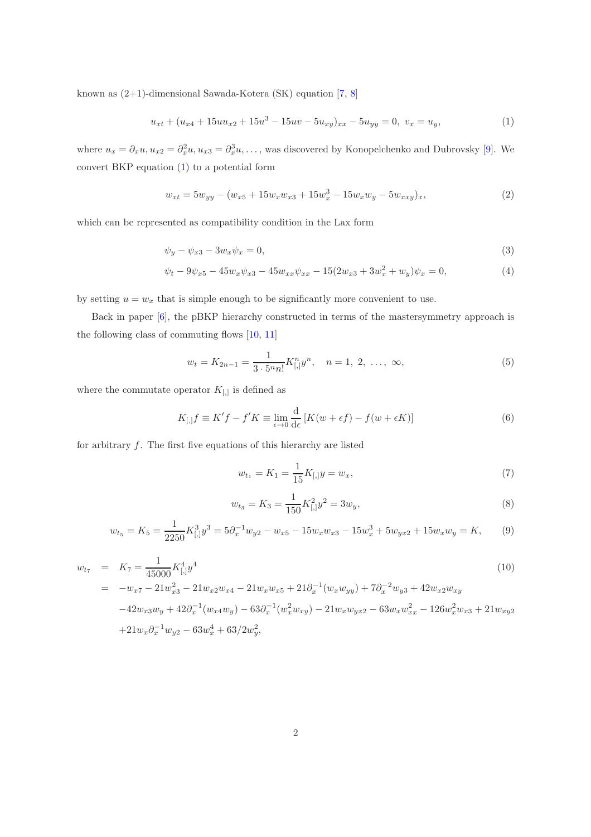known as (2+1)-dimensional Sawada-Kotera (SK) equation [\[7,](#page-14-5) [8\]](#page-14-6)

<span id="page-1-0"></span>
$$
u_{xt} + (u_{x4} + 15uu_{x2} + 15u^3 - 15uv - 5u_{xy})_{xx} - 5u_{yy} = 0, \ v_x = u_y,
$$
\n(1)

where  $u_x = \partial_x u, u_{x2} = \partial_x^2 u, u_{x3} = \partial_x^3 u, \dots$ , was discovered by Konopelchenko and Dubrovsky [\[9](#page-14-7)]. We convert BKP equation [\(1\)](#page-1-0) to a potential form

<span id="page-1-2"></span>
$$
w_{xt} = 5w_{yy} - (w_{x5} + 15w_xw_{x3} + 15w_x^3 - 15w_xw_y - 5w_{xxy})_x,
$$
\n(2)

which can be represented as compatibility condition in the Lax form

<span id="page-1-5"></span>
$$
\psi_y - \psi_{x3} - 3w_x \psi_x = 0,\tag{3}
$$

$$
\psi_t - 9\psi_{x5} - 45w_x\psi_{x3} - 45w_{xx}\psi_{xx} - 15(2w_{x3} + 3w_x^2 + w_y)\psi_x = 0,\tag{4}
$$

by setting  $u = w_x$  that is simple enough to be significantly more convenient to use.

Back in paper [\[6\]](#page-14-4), the pBKP hierarchy constructed in terms of the mastersymmetry approach is the following class of commuting flows [\[10,](#page-14-8) [11\]](#page-14-9)

<span id="page-1-3"></span>
$$
w_t = K_{2n-1} = \frac{1}{3 \cdot 5^n n!} K_{[,}^n y^n, \quad n = 1, 2, \dots, \infty,
$$
\n(5)

where the commutate operator  $K_{[,]}$  is defined as

$$
K_{[,]}f \equiv K'f - f'K \equiv \lim_{\epsilon \to 0} \frac{\mathrm{d}}{\mathrm{d}\epsilon} \left[ K(w + \epsilon f) - f(w + \epsilon K) \right] \tag{6}
$$

for arbitrary  $f$ . The first five equations of this hierarchy are listed

$$
w_{t_1} = K_1 = \frac{1}{15} K_{[,y} = w_x,\tag{7}
$$

$$
w_{t_3} = K_3 = \frac{1}{150} K_{[,}^2 y^2 = 3w_y,
$$
\n(8)

<span id="page-1-1"></span>
$$
w_{t_5} = K_5 = \frac{1}{2250} K_{[,}^3 y^3 = 5 \partial_x^{-1} w_{y2} - w_{x5} - 15 w_x w_{x3} - 15 w_x^3 + 5 w_{yx2} + 15 w_x w_y = K,\tag{9}
$$

<span id="page-1-4"></span>
$$
w_{t_7} = K_7 = \frac{1}{45000} K_{[,}^4 y^4
$$
\n
$$
= -w_{x7} - 21 w_{x3}^2 - 21 w_{x2} w_{x4} - 21 w_x w_{x5} + 21 \partial_x^{-1} (w_x w_{yy}) + 7 \partial_x^{-2} w_{y3} + 42 w_{x2} w_{xy}
$$
\n
$$
-42 w_{x3} w_y + 42 \partial_x^{-1} (w_{x4} w_y) - 63 \partial_x^{-1} (w_x^2 w_{xy}) - 21 w_x w_{yx2} - 63 w_x w_{xx}^2 - 126 w_x^2 w_{x3} + 21 w_{xy2}
$$
\n
$$
+21 w_x \partial_x^{-1} w_{y2} - 63 w_x^4 + 63/2 w_y^2,
$$
\n
$$
(10)
$$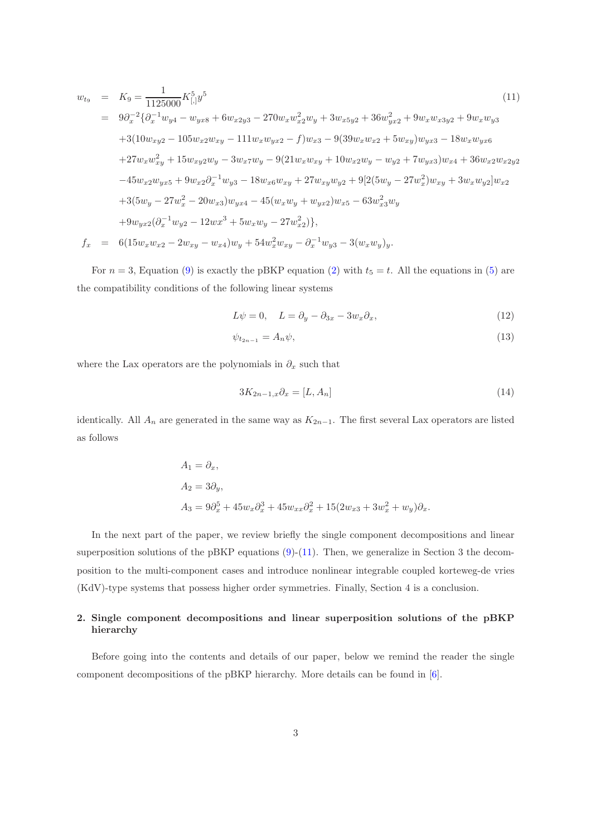<span id="page-2-0"></span>
$$
w_{t9} = K_9 = \frac{1}{1125000} K_{[,]}^{5} y^5
$$
\n
$$
= 9\partial_x^{-2} \{ \partial_x^{-1} w_{y4} - w_{yx8} + 6w_{x2y3} - 270w_x w_{x2}^2 w_y + 3w_{x5y2} + 36w_{yx2}^2 + 9w_x w_{x3y2} + 9w_x w_{y3} \n+ 3(10w_{xy2} - 105w_{x2}w_{xy} - 111w_x w_{yx2} - f)w_{x3} - 9(39w_x w_{x2} + 5w_{xy})w_{yx3} - 18w_x w_{yx6} \n+ 27w_x w_{xy}^2 + 15w_{xy2}w_y - 3w_x w_y - 9(21w_x w_{xy} + 10w_{x2}w_y - w_{y2} + 7w_{yx3})w_{x4} + 36w_{x2}w_{x2y2} \n- 45w_{x2}w_{yx5} + 9w_{x2}\partial_x^{-1} w_{y3} - 18w_{x6}w_{xy} + 27w_{xy}w_{y2} + 9[2(5w_y - 27w_x^2)w_{xy} + 3w_x w_{y2}]w_{x2} \n+ 3(5w_y - 27w_x^2 - 20w_{x3})w_{yx4} - 45(w_x w_y + w_{yx2})w_{x5} - 63w_{x3}^2 w_y \n+ 9w_{yx2}(\partial_x^{-1} w_{y2} - 12w_x^3 + 5w_x w_y - 27w_{x2}^2)\},
$$
\n
$$
f_x = 6(15w_x w_{x2} - 2w_{xy} - w_{x4})w_y + 54w_x^2 w_{xy} - \partial_x^{-1} w_{y3} - 3(w_x w_y)_y.
$$
\n(11)

For  $n = 3$ , Equation [\(9\)](#page-1-1) is exactly the pBKP equation [\(2\)](#page-1-2) with  $t_5 = t$ . All the equations in [\(5\)](#page-1-3) are the compatibility conditions of the following linear systems

$$
L\psi = 0, \quad L = \partial_y - \partial_{3x} - 3w_x \partial_x,\tag{12}
$$

$$
\psi_{t_{2n-1}} = A_n \psi,\tag{13}
$$

where the Lax operators are the polynomials in  $\partial_x$  such that

$$
3K_{2n-1,x}\partial_x = [L, A_n] \tag{14}
$$

identically. All  $A_n$  are generated in the same way as  $K_{2n-1}$ . The first several Lax operators are listed as follows

$$
A_1 = \partial_x,
$$
  
\n
$$
A_2 = 3\partial_y,
$$
  
\n
$$
A_3 = 9\partial_x^5 + 45w_x\partial_x^3 + 45w_{xx}\partial_x^2 + 15(2w_{x3} + 3w_x^2 + w_y)\partial_x.
$$

In the next part of the paper, we review briefly the single component decompositions and linear superposition solutions of the pBKP equations [\(9\)](#page-1-1)-[\(11\)](#page-2-0). Then, we generalize in Section 3 the decomposition to the multi-component cases and introduce nonlinear integrable coupled korteweg-de vries (KdV)-type systems that possess higher order symmetries. Finally, Section 4 is a conclusion.

## 2. Single component decompositions and linear superposition solutions of the pBKP hierarchy

Before going into the contents and details of our paper, below we remind the reader the single component decompositions of the pBKP hierarchy. More details can be found in [\[6\]](#page-14-4).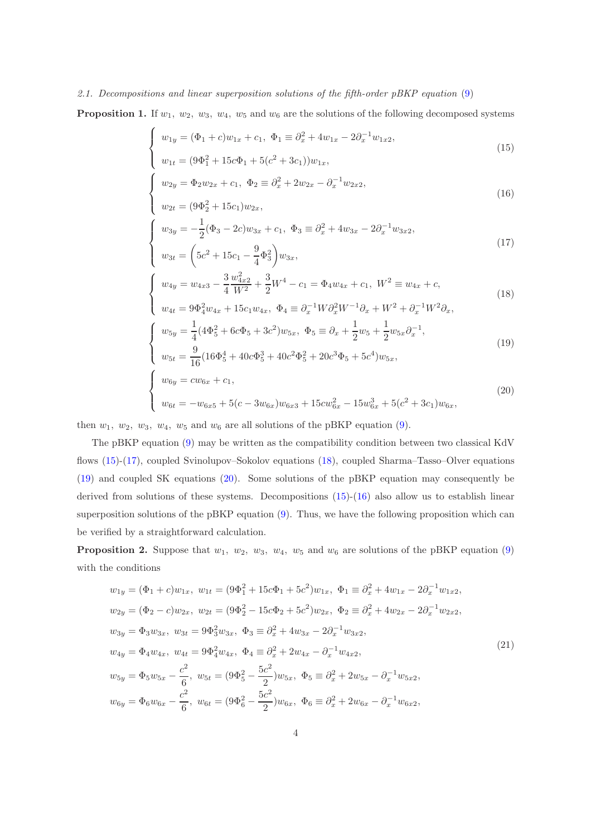## 2.1. Decompositions and linear superposition solutions of the fifth-order pBKP equation [\(9\)](#page-1-1)

**Proposition 1.** If  $w_1$ ,  $w_2$ ,  $w_3$ ,  $w_4$ ,  $w_5$  and  $w_6$  are the solutions of the following decomposed systems

<span id="page-3-0"></span>
$$
\begin{cases}\nw_{1y} = (\Phi_1 + c)w_{1x} + c_1, \ \Phi_1 \equiv \partial_x^2 + 4w_{1x} - 2\partial_x^{-1}w_{1x2},\n\end{cases}
$$
\n(15)

$$
\begin{cases}\nw_{1t} = (9\Phi_1^2 + 15c\Phi_1 + 5(c^2 + 3c_1))w_{1x}, \\
w_{2y} = \Phi_2 w_{2x} + c_1, \ \Phi_2 \equiv \partial_x^2 + 2w_{2x} - \partial_x^{-1} w_{2x2},\n\end{cases}
$$
\n(16)

$$
\begin{cases}\n w_{2y} & 2w_{2x} + 1 \\
 w_{2t} = (9\Phi_2^2 + 15c_1)w_{2x},\n\end{cases}
$$
\n(16)

$$
w_{3y} = -\frac{1}{2}(\Phi_3 - 2c)w_{3x} + c_1, \ \Phi_3 \equiv \partial_x^2 + 4w_{3x} - 2\partial_x^{-1}w_{3x2},
$$
  

$$
w_{3t} = \left(5c^2 + 15c_1 - \frac{9}{4}\Phi_3^2\right)w_{3x},
$$
\n
$$
(17)
$$

$$
\begin{cases}\nw_{4y} = w_{4x3} - \frac{3}{4} \frac{w_{4x2}^2}{W^2} + \frac{3}{2} W^4 - c_1 = \Phi_4 w_{4x} + c_1, \ W^2 \equiv w_{4x} + c,\n\end{cases}
$$
\n(18)

$$
w_{4t} = 9\Phi_4^2 w_{4x} + 15c_1 w_{4x}, \ \Phi_4 \equiv \partial_x^{-1} W \partial_x^2 W^{-1} \partial_x + W^2 + \partial_x^{-1} W^2 \partial_x,
$$

$$
w_{5y} = \frac{1}{4} (4\Phi_5^2 + 6c\Phi_5 + 3c^2) w_{5x}, \ \Phi_5 \equiv \partial_x + \frac{1}{2} w_5 + \frac{1}{2} w_{5x} \partial_x^{-1},
$$
  
\n
$$
w_{5t} = \frac{9}{16} (16\Phi_5^4 + 40c\Phi_5^3 + 40c^2\Phi_5^2 + 20c^3\Phi_5 + 5c^4) w_{5x},
$$
\n(19)

$$
\begin{cases}\nw_{5t} = \frac{9}{16} \left( 16\Phi_5^4 + 40c\Phi_5^3 + 40c^2\Phi_5^2 + 20c^3\Phi_5 + 5c^4 \right) w_{5x}, \\
w_{6y} = cw_{6x} + c_1, \\
w_{6t} = -w_{6x5} + 5(c - 3w_{6x})w_{6x3} + 15cw_{6x}^2 - 15w_{6x}^3 + 5(c^2 + 3c_1)w_{6x},\n\end{cases}
$$
\n(20)

then  $w_1$ ,  $w_2$ ,  $w_3$ ,  $w_4$ ,  $w_5$  and  $w_6$  are all solutions of the pBKP equation [\(9\)](#page-1-1).

 $\sqrt{ }$  $\int$ 

 $\overline{\mathcal{L}}$ 

 $\int$ 

 $\overline{\mathcal{L}}$ 

 $\sqrt{ }$  $\int$ 

The pBKP equation [\(9\)](#page-1-1) may be written as the compatibility condition between two classical KdV flows [\(15\)](#page-3-0)-[\(17\)](#page-3-0), coupled Svinolupov–Sokolov equations [\(18\)](#page-3-0), coupled Sharma–Tasso–Olver equations [\(19\)](#page-3-0) and coupled SK equations [\(20\)](#page-3-0). Some solutions of the pBKP equation may consequently be derived from solutions of these systems. Decompositions [\(15\)](#page-3-0)-[\(16\)](#page-3-0) also allow us to establish linear superposition solutions of the pBKP equation [\(9\)](#page-1-1). Thus, we have the following proposition which can be verified by a straightforward calculation.

**Proposition 2.** Suppose that  $w_1$ ,  $w_2$ ,  $w_3$ ,  $w_4$ ,  $w_5$  and  $w_6$  are solutions of the pBKP equation [\(9\)](#page-1-1) with the conditions

$$
w_{1y} = (\Phi_1 + c)w_{1x}, \ w_{1t} = (9\Phi_1^2 + 15c\Phi_1 + 5c^2)w_{1x}, \ \Phi_1 \equiv \partial_x^2 + 4w_{1x} - 2\partial_x^{-1}w_{1x2},
$$
  
\n
$$
w_{2y} = (\Phi_2 - c)w_{2x}, \ w_{2t} = (9\Phi_2^2 - 15c\Phi_2 + 5c^2)w_{2x}, \ \Phi_2 \equiv \partial_x^2 + 4w_{2x} - 2\partial_x^{-1}w_{2x2},
$$
  
\n
$$
w_{3y} = \Phi_3 w_{3x}, \ w_{3t} = 9\Phi_3^2 w_{3x}, \ \Phi_3 \equiv \partial_x^2 + 4w_{3x} - 2\partial_x^{-1}w_{3x2},
$$
  
\n
$$
w_{4y} = \Phi_4 w_{4x}, \ w_{4t} = 9\Phi_4^2 w_{4x}, \ \Phi_4 \equiv \partial_x^2 + 2w_{4x} - \partial_x^{-1}w_{4x2},
$$
  
\n
$$
w_{5y} = \Phi_5 w_{5x} - \frac{c^2}{6}, \ w_{5t} = (9\Phi_5^2 - \frac{5c^2}{2})w_{5x}, \ \Phi_5 \equiv \partial_x^2 + 2w_{5x} - \partial_x^{-1}w_{5x2},
$$
  
\n
$$
w_{6y} = \Phi_6 w_{6x} - \frac{c^2}{6}, \ w_{6t} = (9\Phi_6^2 - \frac{5c^2}{2})w_{6x}, \ \Phi_6 \equiv \partial_x^2 + 2w_{6x} - \partial_x^{-1}w_{6x2},
$$
  
\n(21)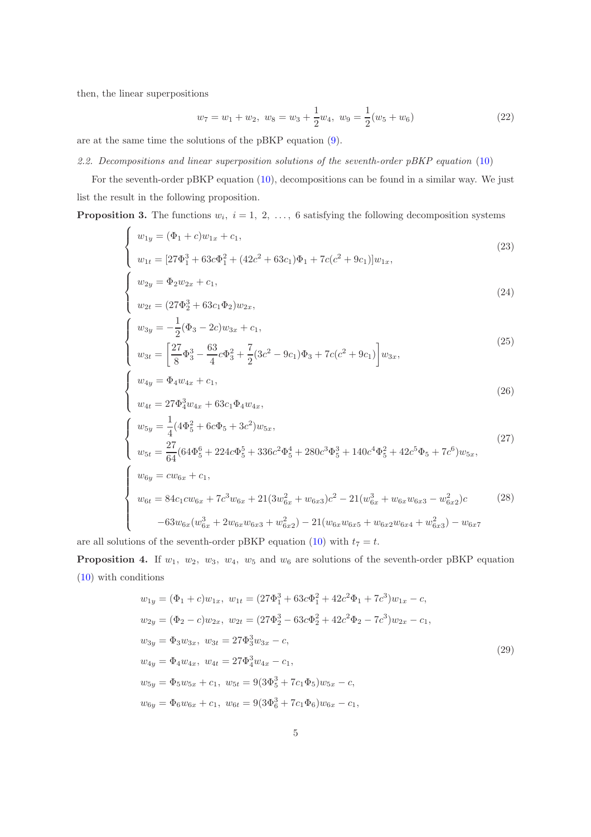then, the linear superpositions

 $\sqrt{ }$  $\int$ 

 $\mathcal{L}$ 

 $\sqrt{ }$  $\int$ 

 $\overline{a}$ 

 $\int$ 

 $\overline{\mathcal{L}}$ 

 $\sqrt{ }$  $\int$ 

$$
w_7 = w_1 + w_2, \ w_8 = w_3 + \frac{1}{2}w_4, \ w_9 = \frac{1}{2}(w_5 + w_6)
$$
\n
$$
(22)
$$

are at the same time the solutions of the pBKP equation [\(9\)](#page-1-1).

#### 2.2. Decompositions and linear superposition solutions of the seventh-order pBKP equation [\(10\)](#page-1-4)

For the seventh-order pBKP equation [\(10\)](#page-1-4), decompositions can be found in a similar way. We just list the result in the following proposition.

**Proposition 3.** The functions  $w_i$ ,  $i = 1, 2, \ldots, 6$  satisfying the following decomposition systems

$$
w_{1y} = (\Phi_1 + c)w_{1x} + c_1,
$$
  
\n
$$
w_{1t} = [27\Phi_1^3 + 63c\Phi_1^2 + (42c^2 + 63c_1)\Phi_1 + 7c(c^2 + 9c_1)]w_{1x},
$$
\n(23)

$$
w_{2y} = \Phi_2 w_{2x} + c_1,\tag{24}
$$

$$
w_{2t} = (27\Phi_2^3 + 63c_1\Phi_2)w_{2x},
$$

$$
\begin{cases}\nw_{3y} = -\frac{1}{2}(\Phi_3 - 2c)w_{3x} + c_1, \\
w_{3t} = \left[\frac{27}{8}\Phi_3^3 - \frac{63}{4}c\Phi_3^2 + \frac{7}{2}(3c^2 - 9c_1)\Phi_3 + 7c(c^2 + 9c_1)\right]w_{3x},\n\end{cases}
$$
\n(25)

$$
w_{4y} = \Phi_4 w_{4x} + c_1,\tag{26}
$$

$$
w_{4t} = 27\Phi_4^3 w_{4x} + 63c_1 \Phi_4 w_{4x},
$$
  
\n
$$
\begin{cases}\nw_{5y} = \frac{1}{4} (4\Phi_5^2 + 6c\Phi_5 + 3c^2) w_{5x}, \\
w_{5t} = \frac{27}{64} (64\Phi_5^6 + 224c\Phi_5^5 + 336c^2\Phi_5^4 + 280c^3\Phi_5^3 + 140c^4\Phi_5^2 + 42c^5\Phi_5 + 7c^6) w_{5x}, \\
w_{6y} = cw_{6x} + c_1, \\
w_{6t} = 84c_1 c w_{6x} + 7c^3 w_{6x} + 21(3w_{6x}^2 + w_{6x3})c^2 - 21(w_{6x}^3 + w_{6x}w_{6x3} - w_{6x2}^2)c \\
-63w_{6x}(w_{6x}^3 + 2w_{6x}w_{6x3} + w_{6x2}^2) - 21(w_{6x}w_{6x5} + w_{6x2}w_{6x4} + w_{6x3}^2) - w_{6x7}\n\end{cases}
$$
\n(28)

are all solutions of the seventh-order pBKP equation [\(10\)](#page-1-4) with  $t_7 = t$ .

**Proposition 4.** If  $w_1$ ,  $w_2$ ,  $w_3$ ,  $w_4$ ,  $w_5$  and  $w_6$  are solutions of the seventh-order pBKP equation [\(10\)](#page-1-4) with conditions

$$
w_{1y} = (\Phi_1 + c)w_{1x}, w_{1t} = (27\Phi_1^3 + 63c\Phi_1^2 + 42c^2\Phi_1 + 7c^3)w_{1x} - c,
$$
  
\n
$$
w_{2y} = (\Phi_2 - c)w_{2x}, w_{2t} = (27\Phi_2^3 - 63c\Phi_2^2 + 42c^2\Phi_2 - 7c^3)w_{2x} - c_1,
$$
  
\n
$$
w_{3y} = \Phi_3 w_{3x}, w_{3t} = 27\Phi_3^3 w_{3x} - c,
$$
  
\n
$$
w_{4y} = \Phi_4 w_{4x}, w_{4t} = 27\Phi_4^3 w_{4x} - c_1,
$$
  
\n
$$
w_{5y} = \Phi_5 w_{5x} + c_1, w_{5t} = 9(3\Phi_5^3 + 7c_1\Phi_5)w_{5x} - c,
$$
  
\n
$$
w_{6y} = \Phi_6 w_{6x} + c_1, w_{6t} = 9(3\Phi_6^3 + 7c_1\Phi_6)w_{6x} - c_1,
$$
  
\n(29)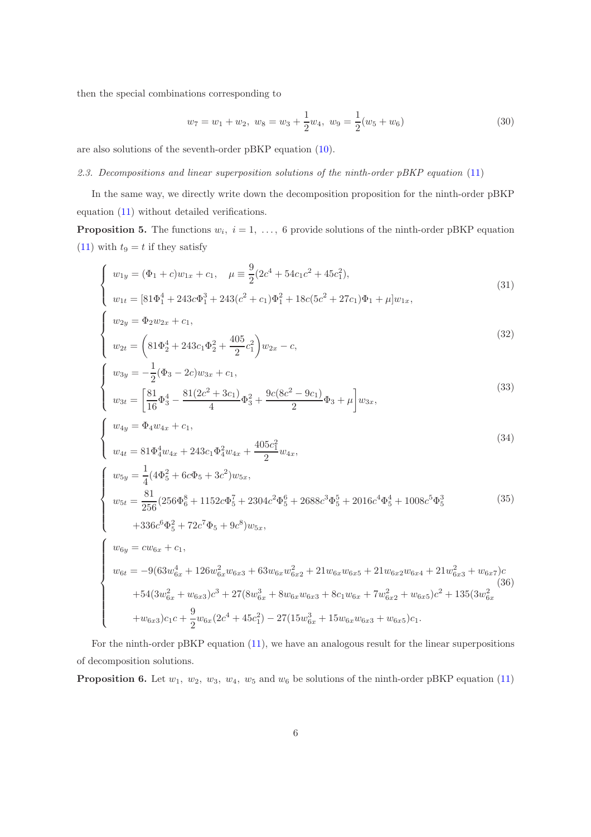then the special combinations corresponding to

 $\sqrt{ }$  $\int$ 

 $\overline{\mathcal{L}}$ 

 $\sqrt{ }$  $\int$ 

 $\overline{\mathcal{L}}$ 

$$
w_7 = w_1 + w_2, \ w_8 = w_3 + \frac{1}{2}w_4, \ w_9 = \frac{1}{2}(w_5 + w_6)
$$
\n
$$
(30)
$$

are also solutions of the seventh-order pBKP equation [\(10\)](#page-1-4).

## 2.3. Decompositions and linear superposition solutions of the ninth-order pBKP equation [\(11\)](#page-2-0)

In the same way, we directly write down the decomposition proposition for the ninth-order pBKP equation [\(11\)](#page-2-0) without detailed verifications.

**Proposition 5.** The functions  $w_i$ ,  $i = 1, \ldots, 6$  provide solutions of the ninth-order pBKP equation [\(11\)](#page-2-0) with  $t_9 = t$  if they satisfy

$$
\begin{cases}\nw_{1y} = (\Phi_1 + c)w_{1x} + c_1, & \mu \equiv \frac{9}{2}(2c^4 + 54c_1c^2 + 45c_1^2), \\
w_{1t} = [81\Phi_1^4 + 243c\Phi_1^3 + 243(c^2 + c_1)\Phi_1^2 + 18c(5c^2 + 27c_1)\Phi_1 + \mu]w_{1x},\n\end{cases}
$$
\n(31)

$$
\begin{cases}\nw_{2y} = \Phi_2 w_{2x} + c_1, \\
w_{2t} = \left(81\Phi_2^4 + 243c_1\Phi_2^2 + \frac{405}{2}c_1^2\right)w_{2x} - c,\n\end{cases}
$$
\n(32)

$$
\begin{cases}\nw_{3y} = -\frac{1}{2}(\Phi_3 - 2c)w_{3x} + c_1, \\
w_{3t} = \left[\frac{81}{16}\Phi_3^4 - \frac{81(2c^2 + 3c_1)}{4}\Phi_3^2 + \frac{9c(8c^2 - 9c_1)}{2}\Phi_3 + \mu\right]w_{3x},\n\end{cases}
$$
\n(33)

$$
w_{4y} = \Phi_4 w_{4x} + c_1,
$$
\n
$$
405s^2
$$
\n(34)

$$
w_{4t} = 81\Phi_4^4 w_{4x} + 243c_1\Phi_4^2 w_{4x} + \frac{405c_1^2}{2} w_{4x},
$$
  
\n
$$
w_{5y} = \frac{1}{4} (4\Phi_5^2 + 6c\Phi_5 + 3c^2) w_{5x},
$$
  
\n
$$
w_{5t} = \frac{81}{256} (256\Phi_6^8 + 1152c\Phi_5^7 + 2304c^2\Phi_5^6 + 2688c^3\Phi_5^5 + 2016c^4\Phi_5^4 + 1008c^5\Phi_5^3
$$
  
\n
$$
+ 336c^6\Phi_5^2 + 72c^7\Phi_5 + 9c^8) w_{5x},
$$
  
\n(35)

$$
\begin{cases}\nw_{6y} = cw_{6x} + c_1, \\
w_{6t} = -9(63w_{6x}^4 + 126w_{6x}^2w_{6x3} + 63w_{6x}w_{6x2}^2 + 21w_{6x}w_{6x5} + 21w_{6x2}w_{6x4} + 21w_{6x3}^2 + w_{6x7})c \\
+54(3w_{6x}^2 + w_{6x3})c^3 + 27(8w_{6x}^3 + 8w_{6x}w_{6x3} + 8c_1w_{6x} + 7w_{6x2}^2 + w_{6x5})c^2 + 135(3w_{6x}^2 + w_{6x3})c_1c + \frac{9}{2}w_{6x}(2c^4 + 45c_1^2) - 27(15w_{6x}^3 + 15w_{6x}w_{6x3} + w_{6x5})c_1.\n\end{cases}
$$
\n
$$
(36)
$$

For the ninth-order pBKP equation [\(11\)](#page-2-0), we have an analogous result for the linear superpositions of decomposition solutions.

**Proposition 6.** Let  $w_1$ ,  $w_2$ ,  $w_3$ ,  $w_4$ ,  $w_5$  and  $w_6$  be solutions of the ninth-order pBKP equation [\(11\)](#page-2-0)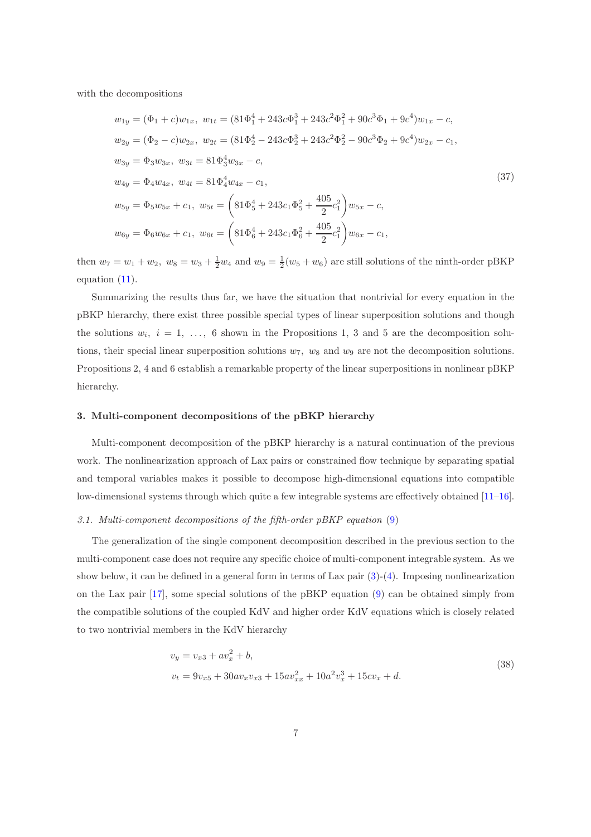with the decompositions

$$
w_{1y} = (\Phi_1 + c)w_{1x}, \ w_{1t} = (81\Phi_1^4 + 243c\Phi_1^3 + 243c^2\Phi_1^2 + 90c^3\Phi_1 + 9c^4)w_{1x} - c,
$$
  
\n
$$
w_{2y} = (\Phi_2 - c)w_{2x}, \ w_{2t} = (81\Phi_2^4 - 243c\Phi_2^3 + 243c^2\Phi_2^2 - 90c^3\Phi_2 + 9c^4)w_{2x} - c_1,
$$
  
\n
$$
w_{3y} = \Phi_3 w_{3x}, \ w_{3t} = 81\Phi_3^4 w_{3x} - c,
$$
  
\n
$$
w_{4y} = \Phi_4 w_{4x}, \ w_{4t} = 81\Phi_4^4 w_{4x} - c_1,
$$
  
\n
$$
w_{5y} = \Phi_5 w_{5x} + c_1, \ w_{5t} = \left(81\Phi_5^4 + 243c_1\Phi_5^2 + \frac{405}{2}c_1^2\right)w_{5x} - c,
$$
  
\n
$$
w_{6y} = \Phi_6 w_{6x} + c_1, \ w_{6t} = \left(81\Phi_6^4 + 243c_1\Phi_6^2 + \frac{405}{2}c_1^2\right)w_{6x} - c_1,
$$
  
\n(37)

then  $w_7 = w_1 + w_2$ ,  $w_8 = w_3 + \frac{1}{2}w_4$  and  $w_9 = \frac{1}{2}(w_5 + w_6)$  are still solutions of the ninth-order pBKP equation [\(11\)](#page-2-0).

Summarizing the results thus far, we have the situation that nontrivial for every equation in the pBKP hierarchy, there exist three possible special types of linear superposition solutions and though the solutions  $w_i$ ,  $i = 1, \ldots, 6$  shown in the Propositions 1, 3 and 5 are the decomposition solutions, their special linear superposition solutions  $w_7$ ,  $w_8$  and  $w_9$  are not the decomposition solutions. Propositions 2, 4 and 6 establish a remarkable property of the linear superpositions in nonlinear pBKP hierarchy.

#### 3. Multi-component decompositions of the pBKP hierarchy

Multi-component decomposition of the pBKP hierarchy is a natural continuation of the previous work. The nonlinearization approach of Lax pairs or constrained flow technique by separating spatial and temporal variables makes it possible to decompose high-dimensional equations into compatible low-dimensional systems through which quite a few integrable systems are effectively obtained [\[11](#page-14-9)[–16\]](#page-15-0).

## 3.1. Multi-component decompositions of the fifth-order pBKP equation [\(9\)](#page-1-1)

The generalization of the single component decomposition described in the previous section to the multi-component case does not require any specific choice of multi-component integrable system. As we show below, it can be defined in a general form in terms of Lax pair  $(3)-(4)$  $(3)-(4)$ . Imposing nonlinearization on the Lax pair [\[17](#page-15-1)], some special solutions of the pBKP equation [\(9\)](#page-1-1) can be obtained simply from the compatible solutions of the coupled KdV and higher order KdV equations which is closely related to two nontrivial members in the KdV hierarchy

<span id="page-6-0"></span>
$$
v_y = v_{x3} + av_x^2 + b,
$$
  
\n
$$
v_t = 9v_{x5} + 30av_xv_{x3} + 15av_{xx}^2 + 10a^2v_x^3 + 15cv_x + d.
$$
\n(38)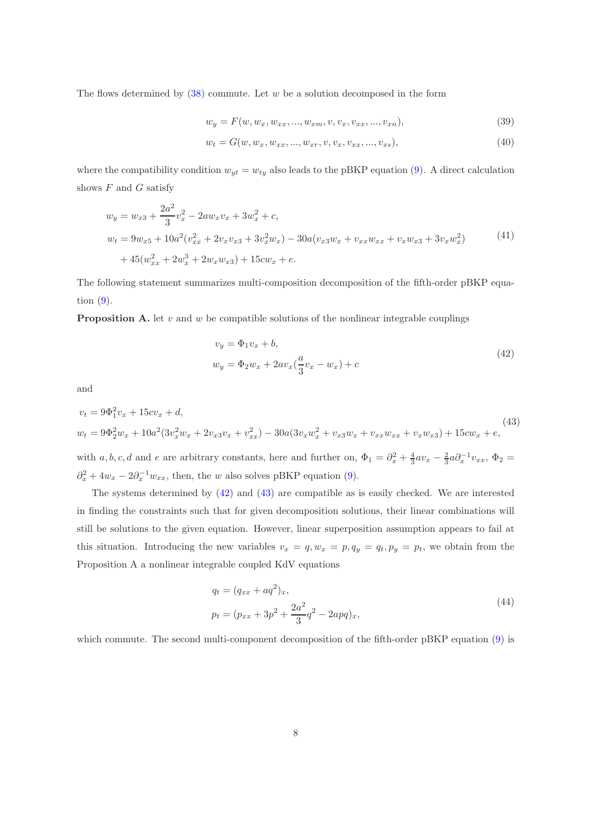The flows determined by  $(38)$  commute. Let w be a solution decomposed in the form

$$
w_y = F(w, w_x, w_{xx}, ..., w_{xm}, v, v_x, v_{xx}, ..., v_{xn}),
$$
\n(39)

$$
w_t = G(w, w_x, w_{xx}, ..., w_{xr}, v, v_x, v_{xx}, ..., v_{xs}),
$$
\n(40)

where the compatibility condition  $w_{yt} = w_{ty}$  also leads to the pBKP equation [\(9\)](#page-1-1). A direct calculation shows  $F$  and  $G$  satisfy

$$
w_y = w_{x3} + \frac{2a^2}{3}v_x^2 - 2aw_xv_x + 3w_x^2 + c,
$$
  
\n
$$
w_t = 9w_{x5} + 10a^2(v_{xx}^2 + 2v_xv_{x3} + 3v_x^2w_x) - 30a(v_{x3}w_x + v_{xx}w_{xx} + v_xw_{x3} + 3v_xw_x^2)
$$
\n
$$
+ 45(w_{xx}^2 + 2w_x^3 + 2w_xw_{x3}) + 15cw_x + e.
$$
\n
$$
(41)
$$

The following statement summarizes multi-composition decomposition of the fifth-order pBKP equation [\(9\)](#page-1-1).

**Proposition A.** let v and w be compatible solutions of the nonlinear integrable couplings

<span id="page-7-0"></span>
$$
v_y = \Phi_1 v_x + b,
$$
  
\n
$$
w_y = \Phi_2 w_x + 2av_x(\frac{a}{3}v_x - w_x) + c
$$
\n(42)

and

<span id="page-7-1"></span>
$$
v_t = 9\Phi_1^2 v_x + 15cv_x + d,
$$
  
\n
$$
w_t = 9\Phi_2^2 w_x + 10a^2(3v_x^2 w_x + 2v_{x3}v_x + v_{xx}^2) - 30a(3v_x w_x^2 + v_{x3}w_x + v_{xx}w_{xx} + v_xw_{x3}) + 15cw_x + e,
$$
\n(43)

with a, b, c, d and e are arbitrary constants, here and further on,  $\Phi_1 = \partial_x^2 + \frac{4}{3}av_x - \frac{2}{3}a\partial_x^{-1}v_{xx}$ ,  $\Phi_2 =$  $\partial_x^2 + 4w_x - 2\partial_x^{-1}w_{xx}$ , then, the w also solves pBKP equation [\(9\)](#page-1-1).

The systems determined by [\(42\)](#page-7-0) and [\(43\)](#page-7-1) are compatible as is easily checked. We are interested in finding the constraints such that for given decomposition solutions, their linear combinations will still be solutions to the given equation. However, linear superposition assumption appears to fail at this situation. Introducing the new variables  $v_x = q$ ,  $w_x = p$ ,  $q_y = q_t$ ,  $p_y = p_t$ , we obtain from the Proposition A a nonlinear integrable coupled KdV equations

$$
q_t = (q_{xx} + aq^2)_x,
$$
  
\n
$$
p_t = (p_{xx} + 3p^2 + \frac{2a^2}{3}q^2 - 2apq)_x,
$$
\n(44)

which commute. The second multi-component decomposition of the fifth-order pBKP equation [\(9\)](#page-1-1) is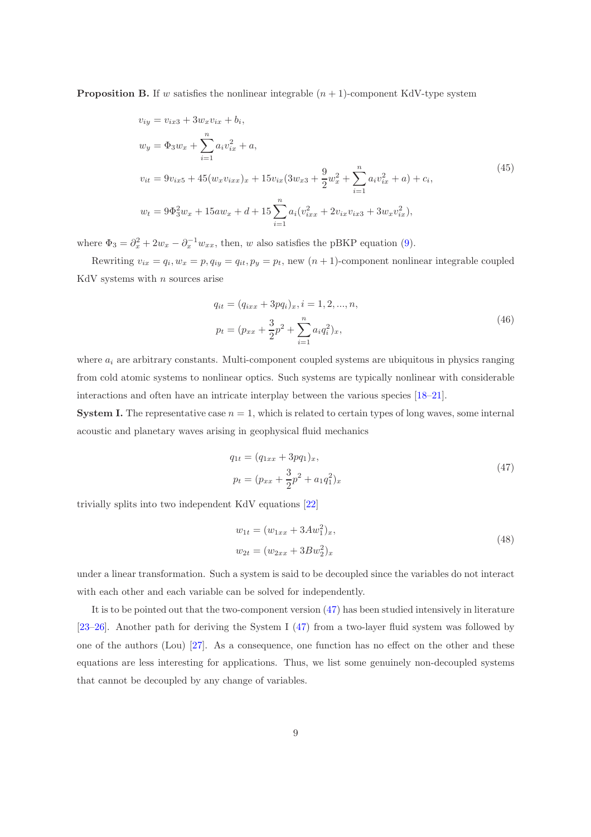**Proposition B.** If w satisfies the nonlinear integrable  $(n + 1)$ -component KdV-type system

$$
v_{iy} = v_{ix3} + 3w_x v_{ix} + b_i,
$$
  
\n
$$
w_y = \Phi_3 w_x + \sum_{i=1}^n a_i v_{ix}^2 + a,
$$
  
\n
$$
v_{it} = 9v_{ix5} + 45(w_x v_{ixx})_x + 15v_{ix}(3w_{x3} + \frac{9}{2}w_x^2 + \sum_{i=1}^n a_i v_{ix}^2 + a) + c_i,
$$
  
\n
$$
w_t = 9\Phi_3^2 w_x + 15aw_x + d + 15\sum_{i=1}^n a_i (v_{ixx}^2 + 2v_{ix} v_{ix3} + 3w_x v_{ix}^2),
$$
\n(45)

where  $\Phi_3 = \partial_x^2 + 2w_x - \partial_x^{-1}w_{xx}$ , then, w also satisfies the pBKP equation [\(9\)](#page-1-1).

Rewriting  $v_{ix} = q_i$ ,  $w_x = p$ ,  $q_{iy} = q_{it}$ ,  $p_y = p_t$ , new  $(n + 1)$ -component nonlinear integrable coupled KdV systems with  $n$  sources arise

<span id="page-8-2"></span>
$$
q_{it} = (q_{ixx} + 3pq_i)_x, i = 1, 2, ..., n,
$$
  

$$
p_t = (p_{xx} + \frac{3}{2}p^2 + \sum_{i=1}^n a_i q_i^2)_x,
$$
 (46)

where  $a_i$  are arbitrary constants. Multi-component coupled systems are ubiquitous in physics ranging from cold atomic systems to nonlinear optics. Such systems are typically nonlinear with considerable interactions and often have an intricate interplay between the various species [\[18](#page-15-2)[–21\]](#page-15-3).

**System I.** The representative case  $n = 1$ , which is related to certain types of long waves, some internal acoustic and planetary waves arising in geophysical fluid mechanics

<span id="page-8-0"></span>
$$
q_{1t} = (q_{1xx} + 3pq_1)_x,
$$
  
\n
$$
p_t = (p_{xx} + \frac{3}{2}p^2 + a_1q_1^2)_x
$$
\n(47)

trivially splits into two independent KdV equations [\[22](#page-15-4)]

<span id="page-8-1"></span>
$$
w_{1t} = (w_{1xx} + 3Aw_1^2)_x,
$$
  
\n
$$
w_{2t} = (w_{2xx} + 3Bw_2^2)_x
$$
\n(48)

under a linear transformation. Such a system is said to be decoupled since the variables do not interact with each other and each variable can be solved for independently.

It is to be pointed out that the two-component version [\(47\)](#page-8-0) has been studied intensively in literature [\[23](#page-15-5)[–26](#page-15-6)]. Another path for deriving the System I [\(47\)](#page-8-0) from a two-layer fluid system was followed by one of the authors (Lou) [\[27\]](#page-16-0). As a consequence, one function has no effect on the other and these equations are less interesting for applications. Thus, we list some genuinely non-decoupled systems that cannot be decoupled by any change of variables.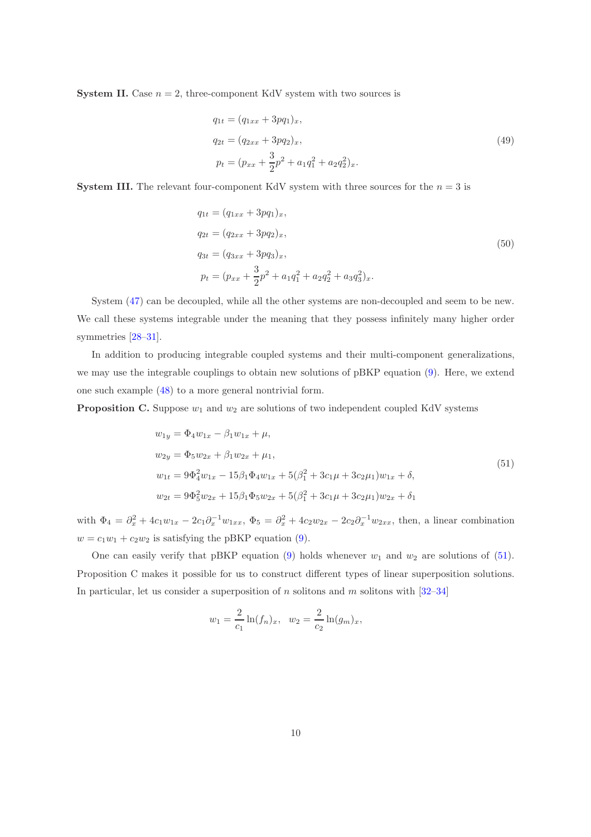**System II.** Case  $n = 2$ , three-component KdV system with two sources is

$$
q_{1t} = (q_{1xx} + 3pq_1)_x,
$$
  
\n
$$
q_{2t} = (q_{2xx} + 3pq_2)_x,
$$
  
\n
$$
p_t = (p_{xx} + \frac{3}{2}p^2 + a_1q_1^2 + a_2q_2^2)_x.
$$
\n(49)

**System III.** The relevant four-component KdV system with three sources for the  $n = 3$  is

$$
q_{1t} = (q_{1xx} + 3pq_1)_x,
$$
  
\n
$$
q_{2t} = (q_{2xx} + 3pq_2)_x,
$$
  
\n
$$
q_{3t} = (q_{3xx} + 3pq_3)_x,
$$
  
\n
$$
p_t = (p_{xx} + \frac{3}{2}p^2 + a_1q_1^2 + a_2q_2^2 + a_3q_3^2)_x.
$$
\n(50)

System [\(47\)](#page-8-0) can be decoupled, while all the other systems are non-decoupled and seem to be new. We call these systems integrable under the meaning that they possess infinitely many higher order symmetries [\[28](#page-16-1)[–31\]](#page-16-2).

In addition to producing integrable coupled systems and their multi-component generalizations, we may use the integrable couplings to obtain new solutions of pBKP equation [\(9\)](#page-1-1). Here, we extend one such example [\(48\)](#page-8-1) to a more general nontrivial form.

**Proposition C.** Suppose  $w_1$  and  $w_2$  are solutions of two independent coupled KdV systems

<span id="page-9-0"></span>
$$
w_{1y} = \Phi_4 w_{1x} - \beta_1 w_{1x} + \mu,
$$
  
\n
$$
w_{2y} = \Phi_5 w_{2x} + \beta_1 w_{2x} + \mu_1,
$$
  
\n
$$
w_{1t} = 9\Phi_4^2 w_{1x} - 15\beta_1 \Phi_4 w_{1x} + 5(\beta_1^2 + 3c_1\mu + 3c_2\mu_1)w_{1x} + \delta,
$$
  
\n
$$
w_{2t} = 9\Phi_5^2 w_{2x} + 15\beta_1 \Phi_5 w_{2x} + 5(\beta_1^2 + 3c_1\mu + 3c_2\mu_1)w_{2x} + \delta_1
$$
\n(51)

with  $\Phi_4 = \partial_x^2 + 4c_1w_{1x} - 2c_1\partial_x^{-1}w_{1xx}$ ,  $\Phi_5 = \partial_x^2 + 4c_2w_{2x} - 2c_2\partial_x^{-1}w_{2xx}$ , then, a linear combination  $w = c_1w_1 + c_2w_2$  is satisfying the pBKP equation [\(9\)](#page-1-1).

One can easily verify that pBKP equation [\(9\)](#page-1-1) holds whenever  $w_1$  and  $w_2$  are solutions of [\(51\)](#page-9-0). Proposition C makes it possible for us to construct different types of linear superposition solutions. In particular, let us consider a superposition of  $n$  solitons and  $m$  solitons with  $[32-34]$ 

$$
w_1 = \frac{2}{c_1} \ln(f_n)_x, \quad w_2 = \frac{2}{c_2} \ln(g_m)_x,
$$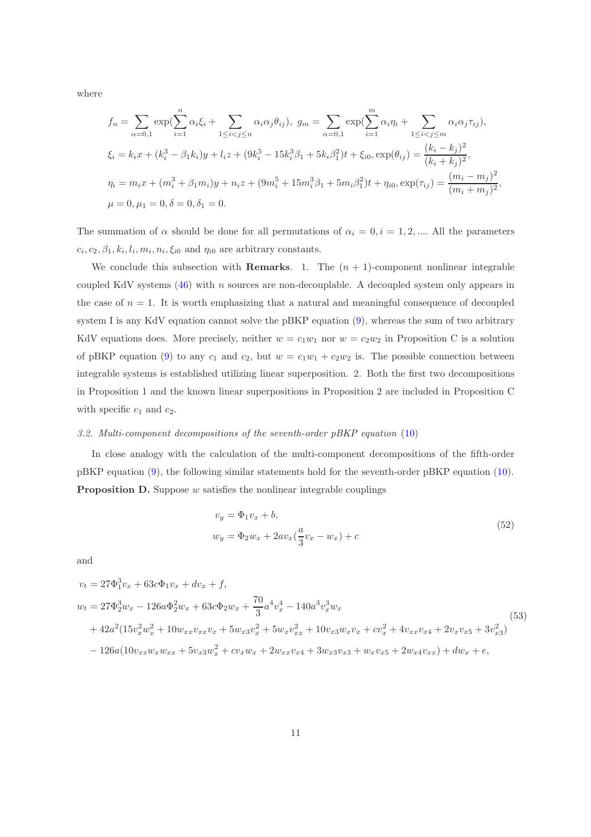where

$$
f_n = \sum_{\alpha=0,1} \exp(\sum_{i=1}^n \alpha_i \xi_i + \sum_{1 \le i < j \le n} \alpha_i \alpha_j \theta_{ij}), \ g_m = \sum_{\alpha=0,1} \exp(\sum_{i=1}^m \alpha_i \eta_i + \sum_{1 \le i < j \le m} \alpha_i \alpha_j \tau_{ij}),
$$
  

$$
\xi_i = k_i x + (k_i^3 - \beta_1 k_i) y + l_i z + (9k_i^5 - 15k_i^3 \beta_1 + 5k_i \beta_1^2) t + \xi_{i0}, \exp(\theta_{ij}) = \frac{(k_i - k_j)^2}{(k_i + k_j)^2},
$$
  

$$
\eta_i = m_i x + (m_i^3 + \beta_1 m_i) y + n_i z + (9m_i^5 + 15m_i^3 \beta_1 + 5m_i \beta_1^2) t + \eta_{i0}, \exp(\tau_{ij}) = \frac{(m_i - m_j)^2}{(m_i + m_j)^2},
$$
  

$$
\mu = 0, \mu_1 = 0, \delta = 0, \delta_1 = 0.
$$

The summation of  $\alpha$  should be done for all permutations of  $\alpha_i = 0, i = 1, 2, \dots$  All the parameters  $c_i, c_2, \beta_1, k_i, l_i, m_i, n_i, \xi_{i0}$  and  $\eta_{i0}$  are arbitrary constants.

We conclude this subsection with **Remarks**. 1. The  $(n + 1)$ -component nonlinear integrable coupled KdV systems  $(46)$  with n sources are non-decouplable. A decoupled system only appears in the case of  $n = 1$ . It is worth emphasizing that a natural and meaningful consequence of decoupled system I is any KdV equation cannot solve the pBKP equation [\(9\)](#page-1-1), whereas the sum of two arbitrary KdV equations does. More precisely, neither  $w = c_1w_1$  nor  $w = c_2w_2$  in Proposition C is a solution of pBKP equation [\(9\)](#page-1-1) to any  $c_1$  and  $c_2$ , but  $w = c_1w_1 + c_2w_2$  is. The possible connection between integrable systems is established utilizing linear superposition. 2. Both the first two decompositions in Proposition 1 and the known linear superpositions in Proposition 2 are included in Proposition C with specific  $c_1$  and  $c_2$ .

#### 3.2. Multi-component decompositions of the seventh-order pBKP equation [\(10\)](#page-1-4)

In close analogy with the calculation of the multi-component decompositions of the fifth-order pBKP equation [\(9\)](#page-1-1), the following similar statements hold for the seventh-order pBKP equation [\(10\)](#page-1-4). **Proposition D.** Suppose  $w$  satisfies the nonlinear integrable couplings

$$
v_y = \Phi_1 v_x + b,
$$
  
\n
$$
w_y = \Phi_2 w_x + 2av_x(\frac{a}{3}v_x - w_x) + c
$$
\n(52)

and

$$
v_t = 27\Phi_1^3 v_x + 63c\Phi_1 v_x + dv_x + f,
$$
  
\n
$$
w_t = 27\Phi_2^3 w_x - 126a\Phi_2^2 w_x + 63c\Phi_2 w_x + \frac{70}{3}a^4 v_x^4 - 140a^3 v_x^3 w_x
$$
  
\n
$$
+ 42a^2(15v_x^2 w_x^2 + 10w_{xx}v_{xx}v_x + 5w_{x3}v_x^2 + 5w_xv_{xx}^2 + 10v_{x3}w_xv_x + cv_x^2 + 4v_{xx}v_{x4} + 2v_xv_{x5} + 3v_{x3}^2)
$$
  
\n
$$
- 126a(10v_{xx}w_xw_{xx} + 5v_{x3}w_x^2 + cv_xw_x + 2w_{xx}v_{x4} + 3w_{x3}v_{x3} + w_xv_{x5} + 2w_{x4}v_{xx}) + dw_x + e,
$$
\n(53)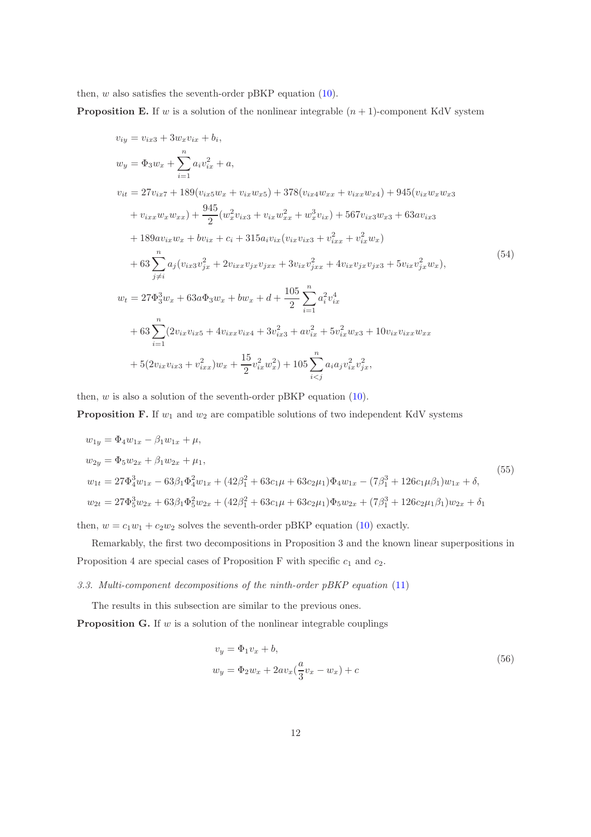then,  $w$  also satisfies the seventh-order pBKP equation [\(10\)](#page-1-4).

**Proposition E.** If w is a solution of the nonlinear integrable  $(n + 1)$ -component KdV system

$$
v_{iy} = v_{ix3} + 3w_xv_{ix} + b_i,
$$
  
\n
$$
w_y = \Phi_3 w_x + \sum_{i=1}^n a_i v_{ix}^2 + a,
$$
  
\n
$$
v_{it} = 27v_{ix7} + 189(v_{ix5}w_x + v_{ix}w_{x5}) + 378(v_{ix4}w_{xx} + v_{ixx}w_{x4}) + 945(v_{ix}w_xw_{x3} + v_{ixx}w_xw_{x2}) + \frac{945}{2}(w_x^2v_{ix3} + v_{ix}w_x^2 + w_x^3v_{ix}) + 567v_{ix3}w_{x3} + 63av_{ix3} + 189av_{ix}w_x + bv_{ix} + c_i + 315a_i v_{ix}(v_{ix}v_{ix3} + v_{ixx}^2 + v_{ix}^2w_x)
$$
  
\n
$$
+ 63 \sum_{j \neq i}^n a_j (v_{ix3}v_{jx}^2 + 2v_{ixx}v_{jx}v_{jxx} + 3v_{ix}v_{jxx}^2 + 4v_{ix}v_{jx}v_{jx3} + 5v_{ix}v_{jx}^2w_x),
$$
  
\n
$$
w_t = 27\Phi_3^3 w_x + 63a\Phi_3 w_x + bw_x + d + \frac{105}{2} \sum_{i=1}^n a_i^2 v_{ix}^4 + 63 \sum_{i=1}^n (2v_{ix}v_{ix5} + 4v_{ixx}v_{ix4} + 3v_{ix3}^2 + av_{ix}^2 + 5v_{ix}^2w_{x3} + 10v_{ix}v_{ixx}w_{xx} + 63 \sum_{i=1}^n (2v_{ix}v_{ix5} + 4v_{ixx}v_{ix4} + 3v_{ix3}^2 + av_{ix}^2 + 5v_{ix}^2w_{x3} + 10v_{ix}v_{ixx}w_{xx} + 5(2v_{ix}v_{ix3} + v_{ixx}^2)w_x + \frac{15}{2}v_{ix}^2w_x^2) + 105 \sum_{i \leq j} a_i a_j v_{ix}^2 v_{jx}^2,
$$

then,  $w$  is also a solution of the seventh-order pBKP equation [\(10\)](#page-1-4).

**Proposition F.** If  $w_1$  and  $w_2$  are compatible solutions of two independent KdV systems

$$
w_{1y} = \Phi_4 w_{1x} - \beta_1 w_{1x} + \mu,
$$
  
\n
$$
w_{2y} = \Phi_5 w_{2x} + \beta_1 w_{2x} + \mu_1,
$$
  
\n
$$
w_{1t} = 27\Phi_4^3 w_{1x} - 63\beta_1 \Phi_4^2 w_{1x} + (42\beta_1^2 + 63c_1\mu + 63c_2\mu_1)\Phi_4 w_{1x} - (7\beta_1^3 + 126c_1\mu\beta_1)w_{1x} + \delta,
$$
  
\n
$$
w_{2t} = 27\Phi_5^3 w_{2x} + 63\beta_1 \Phi_5^2 w_{2x} + (42\beta_1^2 + 63c_1\mu + 63c_2\mu_1)\Phi_5 w_{2x} + (7\beta_1^3 + 126c_2\mu_1\beta_1)w_{2x} + \delta_1
$$
\n(55)

then,  $w = c_1w_1 + c_2w_2$  solves the seventh-order pBKP equation [\(10\)](#page-1-4) exactly.

Remarkably, the first two decompositions in Proposition 3 and the known linear superpositions in Proposition 4 are special cases of Proposition F with specific  $c_1$  and  $c_2$ .

## 3.3. Multi-component decompositions of the ninth-order pBKP equation [\(11\)](#page-2-0)

The results in this subsection are similar to the previous ones.

**Proposition G.** If  $w$  is a solution of the nonlinear integrable couplings

$$
v_y = \Phi_1 v_x + b,
$$
  
\n
$$
w_y = \Phi_2 w_x + 2av_x(\frac{a}{3}v_x - w_x) + c
$$
\n(56)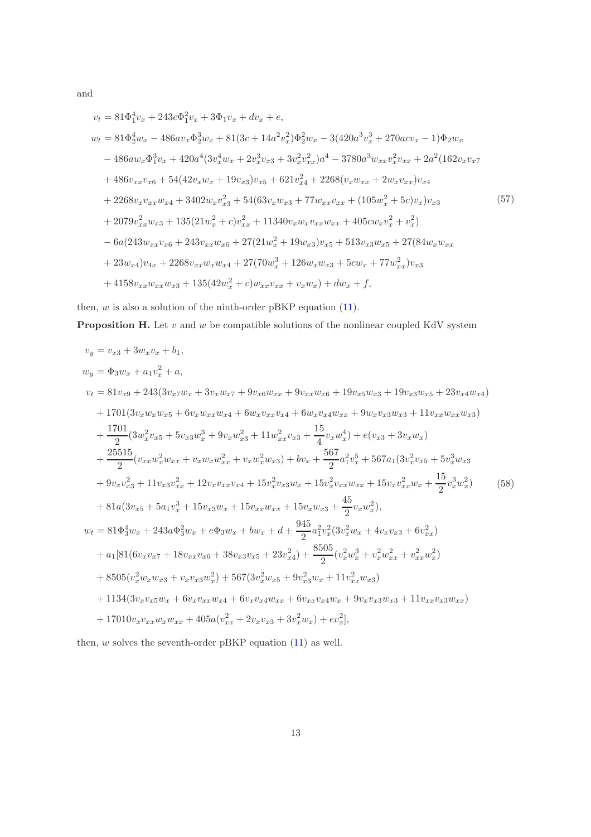and

$$
v_{t} = 81\Phi_{1}^{4}v_{x} + 243c\Phi_{1}^{2}v_{x} + 3\Phi_{1}v_{x} + dv_{x} + e,
$$
  
\n
$$
w_{t} = 81\Phi_{2}^{4}w_{x} - 486av_{x}\Phi_{2}^{3}w_{x} + 81(3c + 14a^{2}v_{x}^{2})\Phi_{2}^{2}w_{x} - 3(420a^{3}v_{x}^{3} + 270acv_{x} - 1)\Phi_{2}w_{x}
$$
  
\n
$$
- 486aw_{x}\Phi_{1}^{3}v_{x} + 420a^{4}(3v_{x}^{4}w_{x} + 2v_{x}^{3}v_{x3} + 3v_{x}^{2}v_{xx}^{2})a^{4} - 3780a^{3}w_{xx}v_{x}^{2}v_{xx} + 2a^{2}(162v_{x}v_{x7} + 486v_{xx}v_{x6} + 54(42v_{x}w_{x} + 19v_{x3})v_{x5} + 621v_{x4}^{2} + 2268(v_{x}w_{xx} + 2w_{x}v_{xx})v_{x4}
$$
  
\n
$$
+ 2268v_{x}v_{xx}w_{x4} + 3402w_{x}v_{x3}^{2} + 54(63v_{x}w_{x3} + 77w_{xx}v_{xx} + (105w_{x}^{2} + 5c)v_{x})v_{x3}
$$
  
\n
$$
+ 2079v_{xx}^{2}w_{x3} + 135(21w_{x}^{2} + c)v_{xx}^{2} + 11340v_{x}w_{x}v_{xx}w_{xx} + 405cw_{x}v_{x}^{2} + v_{x}^{2})
$$
  
\n
$$
- 6a(243w_{xx}v_{x6} + 243v_{xx}w_{x6} + 27(21w_{x}^{2} + 19w_{x3})v_{x5} + 513v_{x3}w_{x5} + 27(84w_{x}w_{xx} + 23w_{x4})v_{4x} + 2268v_{xx}w_{x}w_{x4} + 27(70w_{x}^{3} + 126w_{x
$$

then,  $w$  is also a solution of the ninth-order pBKP equation  $(11)$ .

**Proposition H.** Let  $v$  and  $w$  be compatible solutions of the nonlinear coupled KdV system

$$
v_y = v_{x3} + 3w_xv_x + b_1,
$$
  
\n
$$
w_y = \Phi_3w_x + a_1v_x^2 + a,
$$
  
\n
$$
v_t = 81v_{x9} + 243(3v_{x7}w_x + 3v_xw_{x7} + 9v_{x6}w_{xx} + 9v_{xx}w_{x6} + 19v_{x5}w_{x3} + 19v_{x3}w_{x5} + 23v_{x4}w_{x4})
$$
  
\n+ 1701 $(3v_xw_xw_{x5} + 6v_xw_{xx}w_{x4} + 6w_xv_{xx}v_{x4} + 6w_xv_{x4}w_{xx} + 9w_xv_{x3}w_{x3} + 11v_{xx}w_{xx}w_{x3})$   
\n
$$
+ \frac{1701}{2}(3w_x^2v_{x5} + 5v_{x3}w_x^3 + 9v_xw_{x3}^2 + 11w_{xx}^2v_{x3} + \frac{15}{4}v_xw_x^4) + e(v_{x3} + 3v_xw_x)
$$
  
\n
$$
+ \frac{25515}{2}(v_{xx}w_x^2w_{xx} + v_xw_xw_{xx}^2 + v_xw_x^2w_{x3}) + bv_x + \frac{567}{2}a_1^2v_x^5 + 567a_1(3v_x^2v_{x5} + 5v_x^3w_{x3}
$$
  
\n
$$
+ 9v_xv_{x3}^2 + 11v_{x3}v_{xx}^2 + 12v_xv_{xx}v_{x4} + 15v_x^2v_{x3}w_x + 15v_x^2v_{xx}w_{xx} + 15v_xv_{xx}^2w_x + \frac{15}{2}v_x^3w_x^2)
$$
  
\n
$$
+ 81a(3v_{x5} + 5a_1v_x^3 + 15v_{x3}w_x + 15v_{xx}w_{xx} + 15v_xw_{x3} + \frac{45}{2}v_xw_x^2),
$$
  
\n
$$
w_t = 81\Phi_3^4w_x + 243a\Phi_3^2w_x + e\Phi_3w_x + bw_x + d + \frac{945}{2}a_1^2v_x^2(3v_x^2w_x + 4v
$$

then,  $w$  solves the seventh-order pBKP equation  $(11)$  as well.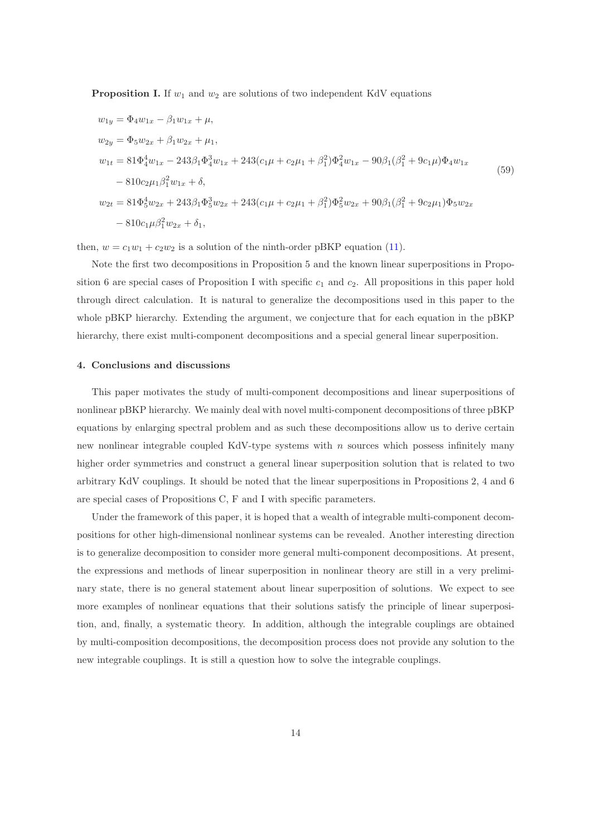**Proposition I.** If  $w_1$  and  $w_2$  are solutions of two independent KdV equations

$$
w_{1y} = \Phi_4 w_{1x} - \beta_1 w_{1x} + \mu,
$$
  
\n
$$
w_{2y} = \Phi_5 w_{2x} + \beta_1 w_{2x} + \mu_1,
$$
  
\n
$$
w_{1t} = 81 \Phi_4^4 w_{1x} - 243 \beta_1 \Phi_4^3 w_{1x} + 243 (c_1 \mu + c_2 \mu_1 + \beta_1^2) \Phi_4^2 w_{1x} - 90 \beta_1 (\beta_1^2 + 9c_1 \mu) \Phi_4 w_{1x}
$$
  
\n
$$
- 810 c_2 \mu_1 \beta_1^2 w_{1x} + \delta,
$$
  
\n
$$
w_{2t} = 81 \Phi_5^4 w_{2x} + 243 \beta_1 \Phi_5^3 w_{2x} + 243 (c_1 \mu + c_2 \mu_1 + \beta_1^2) \Phi_5^2 w_{2x} + 90 \beta_1 (\beta_1^2 + 9c_2 \mu_1) \Phi_5 w_{2x}
$$
  
\n
$$
- 810 c_1 \mu \beta_1^2 w_{2x} + \delta_1,
$$
  
\n(59)

then,  $w = c_1w_1 + c_2w_2$  is a solution of the ninth-order pBKP equation [\(11\)](#page-2-0).

Note the first two decompositions in Proposition 5 and the known linear superpositions in Proposition 6 are special cases of Proposition I with specific  $c_1$  and  $c_2$ . All propositions in this paper hold through direct calculation. It is natural to generalize the decompositions used in this paper to the whole pBKP hierarchy. Extending the argument, we conjecture that for each equation in the pBKP hierarchy, there exist multi-component decompositions and a special general linear superposition.

## 4. Conclusions and discussions

This paper motivates the study of multi-component decompositions and linear superpositions of nonlinear pBKP hierarchy. We mainly deal with novel multi-component decompositions of three pBKP equations by enlarging spectral problem and as such these decompositions allow us to derive certain new nonlinear integrable coupled KdV-type systems with  $n$  sources which possess infinitely many higher order symmetries and construct a general linear superposition solution that is related to two arbitrary KdV couplings. It should be noted that the linear superpositions in Propositions 2, 4 and 6 are special cases of Propositions C, F and I with specific parameters.

Under the framework of this paper, it is hoped that a wealth of integrable multi-component decompositions for other high-dimensional nonlinear systems can be revealed. Another interesting direction is to generalize decomposition to consider more general multi-component decompositions. At present, the expressions and methods of linear superposition in nonlinear theory are still in a very preliminary state, there is no general statement about linear superposition of solutions. We expect to see more examples of nonlinear equations that their solutions satisfy the principle of linear superposition, and, finally, a systematic theory. In addition, although the integrable couplings are obtained by multi-composition decompositions, the decomposition process does not provide any solution to the new integrable couplings. It is still a question how to solve the integrable couplings.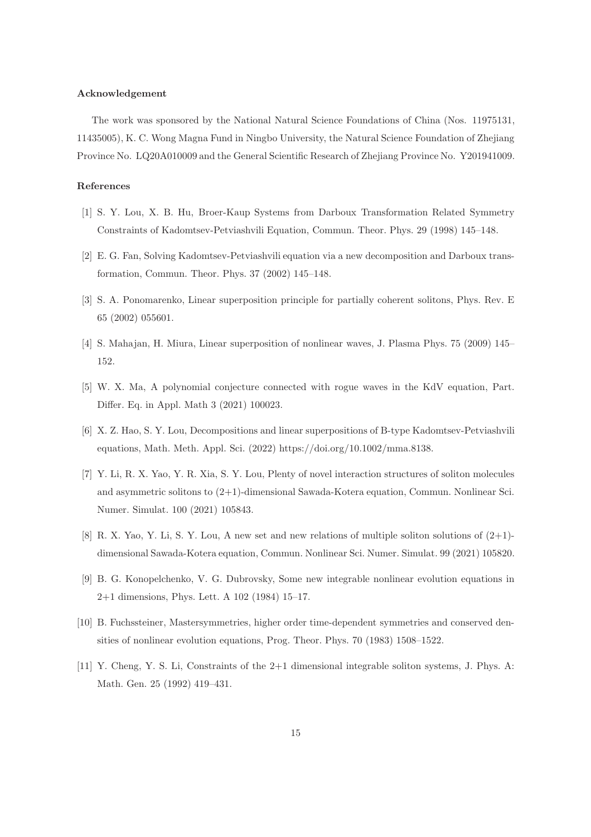#### Acknowledgement

The work was sponsored by the National Natural Science Foundations of China (Nos. 11975131, 11435005), K. C. Wong Magna Fund in Ningbo University, the Natural Science Foundation of Zhejiang Province No. LQ20A010009 and the General Scientific Research of Zhejiang Province No. Y201941009.

## References

- <span id="page-14-0"></span>[1] S. Y. Lou, X. B. Hu, Broer-Kaup Systems from Darboux Transformation Related Symmetry Constraints of Kadomtsev-Petviashvili Equation, Commun. Theor. Phys. 29 (1998) 145–148.
- <span id="page-14-1"></span>[2] E. G. Fan, Solving Kadomtsev-Petviashvili equation via a new decomposition and Darboux transformation, Commun. Theor. Phys. 37 (2002) 145–148.
- <span id="page-14-2"></span>[3] S. A. Ponomarenko, Linear superposition principle for partially coherent solitons, Phys. Rev. E 65 (2002) 055601.
- [4] S. Mahajan, H. Miura, Linear superposition of nonlinear waves, J. Plasma Phys. 75 (2009) 145– 152.
- <span id="page-14-3"></span>[5] W. X. Ma, A polynomial conjecture connected with rogue waves in the KdV equation, Part. Differ. Eq. in Appl. Math 3 (2021) 100023.
- <span id="page-14-4"></span>[6] X. Z. Hao, S. Y. Lou, Decompositions and linear superpositions of B-type Kadomtsev-Petviashvili equations, Math. Meth. Appl. Sci. (2022) https://doi.org/10.1002/mma.8138.
- <span id="page-14-5"></span>[7] Y. Li, R. X. Yao, Y. R. Xia, S. Y. Lou, Plenty of novel interaction structures of soliton molecules and asymmetric solitons to (2+1)-dimensional Sawada-Kotera equation, Commun. Nonlinear Sci. Numer. Simulat. 100 (2021) 105843.
- <span id="page-14-6"></span>[8] R. X. Yao, Y. Li, S. Y. Lou, A new set and new relations of multiple soliton solutions of (2+1) dimensional Sawada-Kotera equation, Commun. Nonlinear Sci. Numer. Simulat. 99 (2021) 105820.
- <span id="page-14-7"></span>[9] B. G. Konopelchenko, V. G. Dubrovsky, Some new integrable nonlinear evolution equations in 2+1 dimensions, Phys. Lett. A 102 (1984) 15–17.
- <span id="page-14-8"></span>[10] B. Fuchssteiner, Mastersymmetries, higher order time-dependent symmetries and conserved densities of nonlinear evolution equations, Prog. Theor. Phys. 70 (1983) 1508–1522.
- <span id="page-14-9"></span>[11] Y. Cheng, Y. S. Li, Constraints of the 2+1 dimensional integrable soliton systems, J. Phys. A: Math. Gen. 25 (1992) 419–431.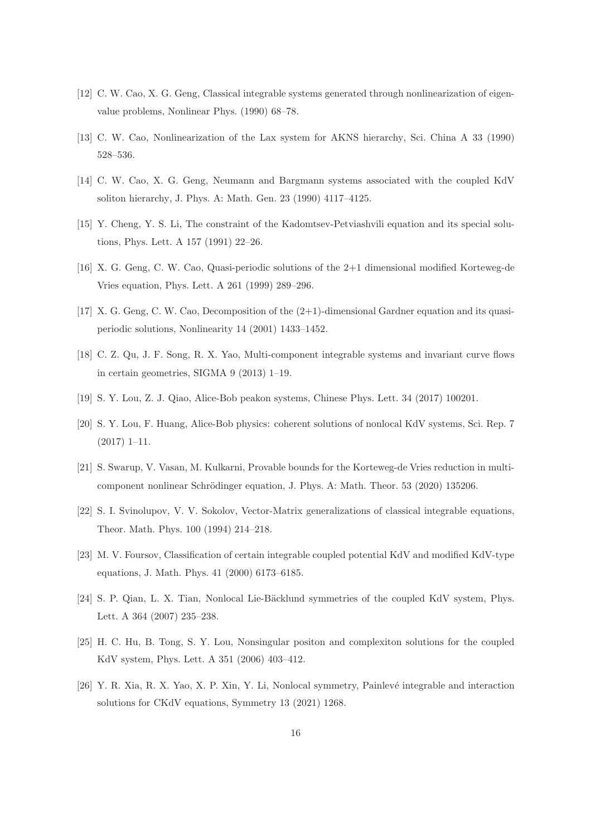- [12] C. W. Cao, X. G. Geng, Classical integrable systems generated through nonlinearization of eigenvalue problems, Nonlinear Phys. (1990) 68–78.
- [13] C. W. Cao, Nonlinearization of the Lax system for AKNS hierarchy, Sci. China A 33 (1990) 528–536.
- [14] C. W. Cao, X. G. Geng, Neumann and Bargmann systems associated with the coupled KdV soliton hierarchy, J. Phys. A: Math. Gen. 23 (1990) 4117–4125.
- [15] Y. Cheng, Y. S. Li, The constraint of the Kadomtsev-Petviashvili equation and its special solutions, Phys. Lett. A 157 (1991) 22–26.
- <span id="page-15-0"></span>[16] X. G. Geng, C. W. Cao, Quasi-periodic solutions of the 2+1 dimensional modified Korteweg-de Vries equation, Phys. Lett. A 261 (1999) 289–296.
- <span id="page-15-1"></span>[17] X. G. Geng, C. W. Cao, Decomposition of the (2+1)-dimensional Gardner equation and its quasiperiodic solutions, Nonlinearity 14 (2001) 1433–1452.
- <span id="page-15-2"></span>[18] C. Z. Qu, J. F. Song, R. X. Yao, Multi-component integrable systems and invariant curve flows in certain geometries, SIGMA 9 (2013) 1–19.
- [19] S. Y. Lou, Z. J. Qiao, Alice-Bob peakon systems, Chinese Phys. Lett. 34 (2017) 100201.
- [20] S. Y. Lou, F. Huang, Alice-Bob physics: coherent solutions of nonlocal KdV systems, Sci. Rep. 7 (2017) 1–11.
- <span id="page-15-3"></span>[21] S. Swarup, V. Vasan, M. Kulkarni, Provable bounds for the Korteweg-de Vries reduction in multicomponent nonlinear Schrödinger equation, J. Phys. A: Math. Theor. 53 (2020) 135206.
- <span id="page-15-4"></span>[22] S. I. Svinolupov, V. V. Sokolov, Vector-Matrix generalizations of classical integrable equations, Theor. Math. Phys. 100 (1994) 214–218.
- <span id="page-15-5"></span>[23] M. V. Foursov, Classification of certain integrable coupled potential KdV and modified KdV-type equations, J. Math. Phys. 41 (2000) 6173–6185.
- [24] S. P. Qian, L. X. Tian, Nonlocal Lie-Bäcklund symmetries of the coupled KdV system, Phys. Lett. A 364 (2007) 235–238.
- [25] H. C. Hu, B. Tong, S. Y. Lou, Nonsingular positon and complexiton solutions for the coupled KdV system, Phys. Lett. A 351 (2006) 403–412.
- <span id="page-15-6"></span>[26] Y. R. Xia, R. X. Yao, X. P. Xin, Y. Li, Nonlocal symmetry, Painlevé integrable and interaction solutions for CKdV equations, Symmetry 13 (2021) 1268.